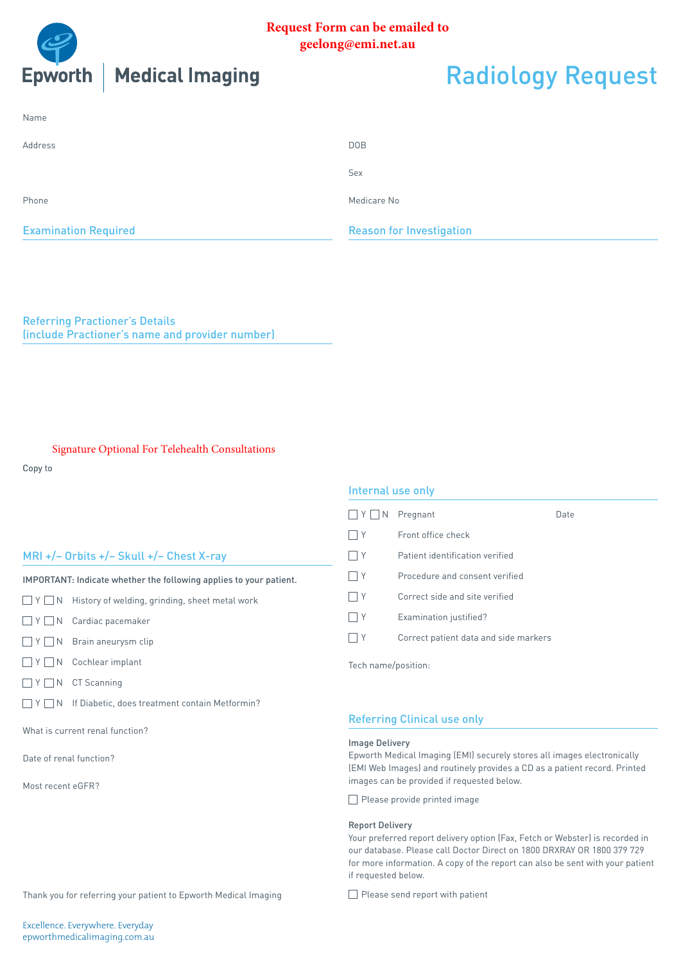

## **Request Form can be emailed to geelong@emi.net.au**

| ng | <b>Radiology Request</b> |
|----|--------------------------|
|    |                          |

| <b>Examination Required</b> | <b>Reason for Investigation</b> |  |  |  |  |  |  |
|-----------------------------|---------------------------------|--|--|--|--|--|--|
| Phone                       | Medicare No                     |  |  |  |  |  |  |
|                             | Sex                             |  |  |  |  |  |  |
| Address                     | DOB                             |  |  |  |  |  |  |
| Name                        |                                 |  |  |  |  |  |  |

Referring Practioner's Details (include Practioner's name and provider number)

### Signature Optional For Telehealth Consultations

Copy to

## MRI +/– Orbits +/– Skull +/– Chest X-ray

IMPORTANT: Indicate whether the following applies to your patient.

 $\Box$  Y  $\Box$  N History of welding, grinding, sheet metal work

- Y N Cardiac pacemaker
- $\Box$  Y  $\Box$  N Brain aneurysm clip
- $\Box$  Y  $\Box$  N Cochlear implant
- $\Box$  Y  $\Box$  N CT Scanning
- $\Box$  Y  $\Box$  N If Diabetic, does treatment contain Metformin?

What is current renal function?

Date of renal function?

Most recent eGFR?

### Internal use only

| Y <br>  N | Pregnant                              | Date |
|-----------|---------------------------------------|------|
| Υ         | Front office check                    |      |
| Υ         | Patient identification verified       |      |
| Υ         | Procedure and consent verified        |      |
| Y         | Correct side and site verified        |      |
| Υ         | Examination justified?                |      |
|           | Correct patient data and side markers |      |
|           |                                       |      |

Tech name/position:

## Referring Clinical use only

#### Image Delivery

Epworth Medical Imaging (EMI) securely stores all images electronically (EMI Web Images) and routinely provides a CD as a patient record. Printed images can be provided if requested below.

 $\Box$  Please provide printed image

#### Report Delivery

Your preferred report delivery option (Fax, Fetch or Webster) is recorded in our database. Please call Doctor Direct on 1800 DRXRAY OR 1800 379 729 for more information. A copy of the report can also be sent with your patient if requested below.

Please send report with patient

Thank you for referring your patient to Epworth Medical Imaging